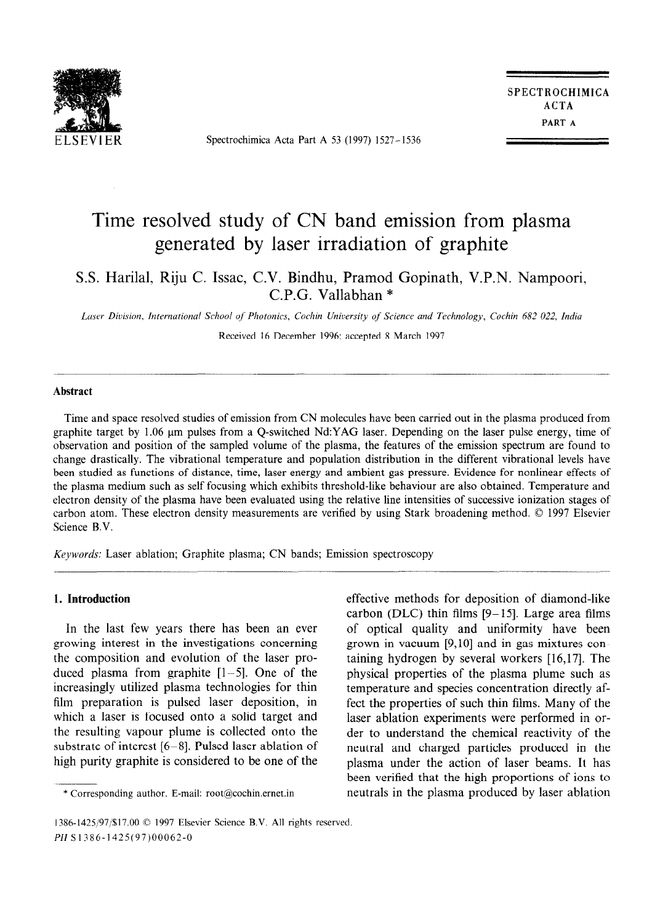

Spectrochimica Acta Part A 53 (1997) 1527-1536

SPECTROCHIMICA ACTA PART A

# Time resolved study of CN band emission from plasma generated by laser irradiation of graphite

S.S. Harilal, Riju C. Issac, C.V. Bindhu, Pramod Gopinath, V.P.N. Nampoori, C.P.G. Vallabhan \*

Laser Division, International School of Photonics, Cochin University of Science and Technology, Cochin 682 022, India

Received 16 December 1996; accepted 8 March 1997

# Abstract

Time and space resolved studies of emission from CN molecules have been carried out in the plasma produced from graphite target by 1.06 µm pulses from a Q-switched Nd:YAG laser. Depending on the laser pulse energy, time of observation and position of the sampled volume of the plasma, the features of the emission spectrum are found to change drastically. The vibrational temperature and population distribution in the different vibrational levels have been studied as functions of distance, time, laser energy and ambient gas pressure. Evidence for nonlinear effects of the plasma medium such as self focusing which exhibits threshold-like behaviour are also obtained. Temperature and electron density of the plasma have been evaluated using the relative line intensities of successive ionization stages of carbon atom. These electron density measurements are verified by using Stark broadening method. © 1997 Elsevier Science B.V.

Keywords: Laser ablation; Graphite plasma; CN bands; Emission spectroscopy

# 1. Introduction

In the last few years there has been an ever growing interest in the investigations concerning the composition and evolution of the laser produced plasma from graphite [l-5]. One of the increasingly utilized plasma technologies for thin film preparation is pulsed laser deposition, in which a laser is focused onto a solid target and the resulting vapour plume is collected onto the substrate of interest  $[6-8]$ . Pulsed laser ablation of high purity graphite is considered to be one of the

\* Corresponding author. E-mail: root@cochin.ernet.in

effective methods for deposition of diamond-like carbon (DLC) thin films  $[9-15]$ . Large area films of optical quality and uniformity have been grown in vacuum [9,10] and in gas mixtures containing hydrogen by several workers [16,17]. The physical properties of the plasma plume such as temperature and species concentration directly affect the properties of such thin films. Many of the laser ablation experiments were performed in order to understand the chemical reactivity of the neutral and charged particles produced in the plasma under the action of laser beams. It has been verified that the high proportions of ions to neutrals in the plasma produced by laser ablation

<sup>1386-1425/97/\$17.00 © 1997</sup> Elsevier Science B.V. All rights reserved. PII Sl386-1425(97)00062-O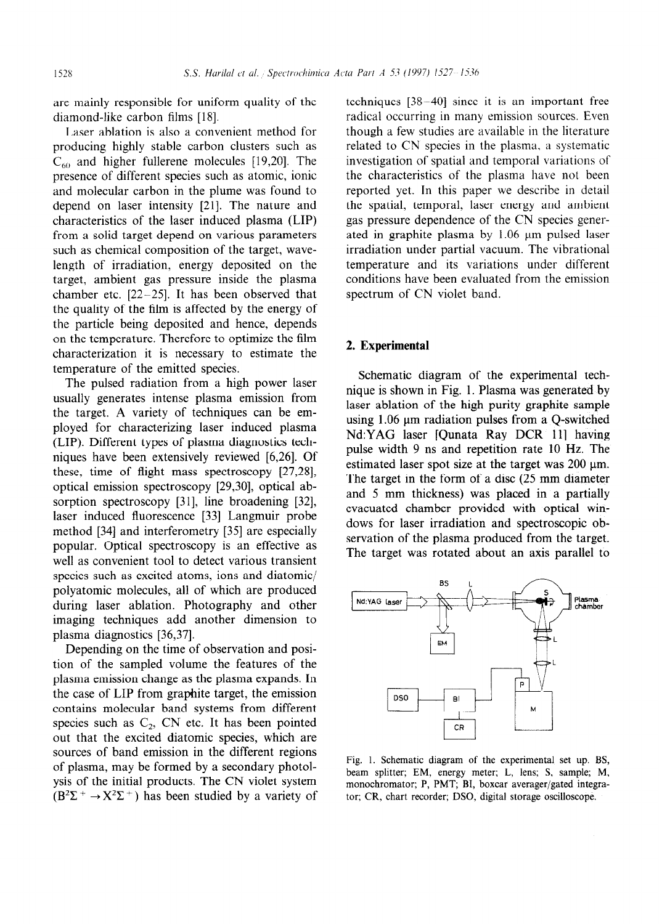are mainly responsible for uniform quality of the diamond-like carbon films [18].

Laser ablation is also a convenient method for producing highly stable carbon clusters such as  $C_{60}$  and higher fullerene molecules [19,20]. The presence of different species such as atomic, ionic and molecular carbon in the plume was found to depend on laser intensity [21]. The nature and characteristics of the laser induced plasma (LIP) from a solid target depend on various parameters such as chemical composition of the target, wavelength of irradiation, energy deposited on the target, ambient gas pressure inside the plasma chamber etc.  $[22-25]$ . It has been observed that the quality of the film is affected by the energy of the particle being deposited and hence, depends on the temperature. Therefore to optimize the film characterization it is necessary to estimate the temperature of the emitted species.

The pulsed radiation from a high power laser usually generates intense plasma emission from the target. A variety of techniques can be employed for characterizing laser induced plasma (LIP). Different types of plasma diagnostics techniques have been extensively reviewed [6,26]. Of these, time of flight mass spectroscopy [27,28], optical emission spectroscopy [29,30], optical absorption spectroscopy  $[31]$ , line broadening  $[32]$ , laser induced fluorescence [33] Langmuir probe method [34] and interferometry [35] are especially popular. Optical spectroscopy is an effective as well as convenient tool to detect various transient species such as excited atoms, ions and diatomic/ polyatomic molecules, all of which are produced during laser ablation. Photography and other imaging techniques add another dimension to plasma diagnostics [36,37].

Depending on the time of observation and position of the sampled volume the features of the plasma emission change as the plasma expands. In the case of LIP from graphite target, the emission contains molecular band systems from different species such as  $C_2$ , CN etc. It has been pointed out that the excited diatomic species, which are sources of band emission in the different regions of plasma, may be formed by a secondary photolysis of the initial products. The CN violet system  $(B^2\Sigma^+ \rightarrow X^2\Sigma^+)$  has been studied by a variety of techniques  $[38 - 40]$  since it is an important free radical occurring in many emission sources. Even though a few studies are available in the literature related to CN species in the plasma, a systematic investigation of spatial and temporal variations of the characteristics of the plasma have not been reported yet. In this paper we describe in detail the spatial, temporal, laser energy and ambient gas pressure dependence of the CN species generated in graphite plasma by  $1.06 \mu m$  pulsed laser irradiation under partial vacuum. The vibrational temperature and its variations under different conditions have been evaluated from the emission spectrum of CN violet band.

# 2. Experimental

Schematic diagram of the experimental technique is shown in Fig. 1. Plasma was generated by laser ablation of the high purity graphite sample using  $1.06 \mu m$  radiation pulses from a Q-switched Nd:YAG laser [Qunata Ray DCR 111 having pulse width 9 ns and repetition rate 10 Hz. The estimated laser spot size at the target was  $200 \mu m$ . The target in the form of a disc (25 mm diameter and 5 mm thickness) was placed in a partially evacuated chamber provided with optical windows for laser irradiation and spectroscopic observation of the plasma produced from the target. The target was rotated about an axis parallel to



Fig. 1. Schematic diagram of the experimental set up. BS, beam splitter; EM, energy meter; L, lens; S, sample; M, monochromator; P, PMT; BI, boxcar averager/gated integrator; CR, chart recorder; DSO, digital storage oscilloscope.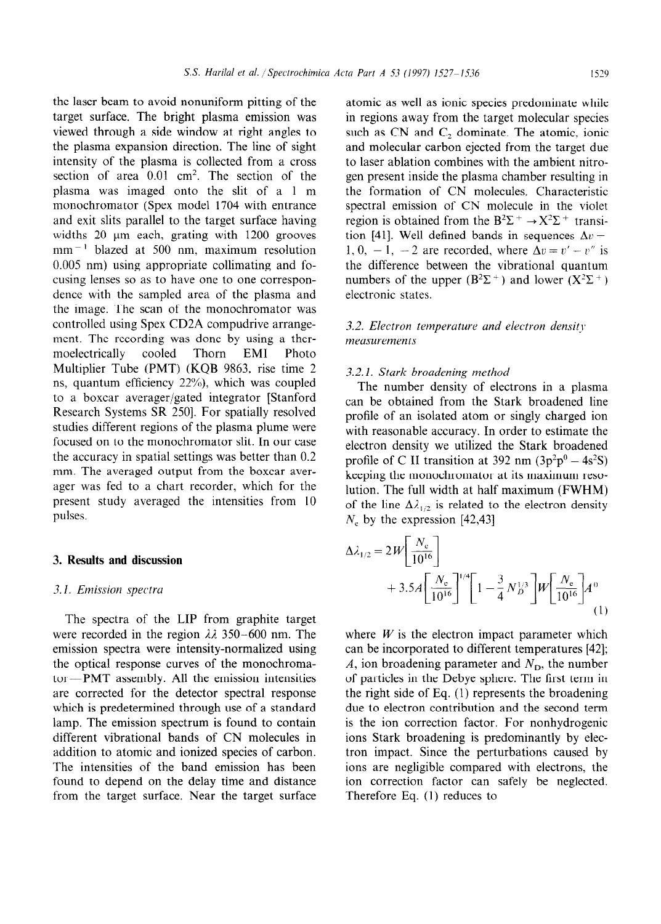the laser beam to avoid nonuniform pitting of the target surface. The bright plasma emission was viewed through a side window at right angles to the plasma expansion direction. The line of sight intensity of the plasma is collected from a cross section of area 0.01 cm2. The section of the plasma was imaged onto the slit of a 1 m monochromator (Spex model 1704 with entrance and exit slits parallel to the target surface having widths  $20 \mu m$  each, grating with  $1200 \text{ grooves}$  $mm^{-1}$  blazed at 500 nm, maximum resolution 0.005 nm) using appropriate collimating and focusing lenses so as to have one to one correspondence with the sampled area of the plasma and the image. The scan of the monochromator was controlled using Spex CD2A compudrive arrangement. The recording was done by using a thermoelectrically cooled Thorn EM1 Photo Multiplier Tube (PMT) (KQB 9863, rise time 2 ns, quantum efficiency 22%), which was coupled to a boxcar averager/gated integrator [Stanford Research Systems SR 250]. For spatially resolved studies different regions of the plasma plume were focused on to the monochromator slit. In our case the accuracy in spatial settings was better than 0.2 mm. The averaged output from the boxcar averager was fed to a chart recorder, which for the present study averaged the intensities from 10 pulses.

# 3. Results and discussion

# 3.1. Emission spectra

The spectra of the LIP from graphite target were recorded in the region  $\lambda\lambda$  350-600 nm. The emission spectra were intensity-normalized using the optical response curves of the monochromator-PMT assembly. All the emission intensities are corrected for the detector spectral response which is predetermined through use of a standard lamp. The emission spectrum is found to contain different vibrational bands of CN molecules in addition to atomic and ionized species of carbon. The intensities of the band emission has been found to depend on the delay time and distance from the target surface. Near the target surface

atomic as well as ionic species predominate while in regions away from the target molecular species such as CN and  $C_2$  dominate. The atomic, ionic and molecular carbon ejected from the target due to laser ablation combines with the ambient nitrogen present inside the plasma chamber resulting in the formation of CN molecules. Characteristic spectral emission of CN molecule in the violet region is obtained from the  $B^2\Sigma^+ \rightarrow X^2\Sigma^+$  transition [41]. Well defined bands in sequences  $\Delta v =$ 1, 0, -1, -2 are recorded, where  $\Delta v = v' - v''$  is the difference between the vibrational quantum numbers of the upper  $(B^2\Sigma^+)$  and lower  $(X^2\Sigma^+)$ electronic states.

# 3.2. Electron temperature and electron density meusurements

#### 3.2.1. Stark broadening method

The number density of electrons in a plasma can be obtained from the Stark broadened line profile of an isolated atom or singly charged ion with reasonable accuracy. In order to estimate the electron density we utilized the Stark broadened profile of C II transition at 392 nm  $(3p^2p^0 - 4s^2S)$ keeping the monochromator at its maximum resolution. The full width at half maximum (FWHM) of the line  $\Delta \lambda_{1/2}$  is related to the electron density  $N_e$  by the expression [42,43]

$$
\Delta \lambda_{1/2} = 2W \left[ \frac{N_e}{10^{16}} \right] \n+ 3.5A \left[ \frac{N_e}{10^{16}} \right]^{1/4} \left[ 1 - \frac{3}{4} N_B^{1/3} \right] W \left[ \frac{N_e}{10^{16}} \right] A^0
$$
\n(1)

where  $W$  is the electron impact parameter which can be incorporated to different temperatures [42]; A, ion broadening parameter and  $N_D$ , the number of particles in the Debye sphere. The first term in the right side of Eq. (1) represents the broadening due to electron contribution and the second term is the ion correction factor. For nonhydrogenic ions Stark broadening is predominantly by electron impact. Since the perturbations caused by ions are negligible compared with electrons, the ion correction factor can safely be neglected. Therefore Eq. (1) reduces to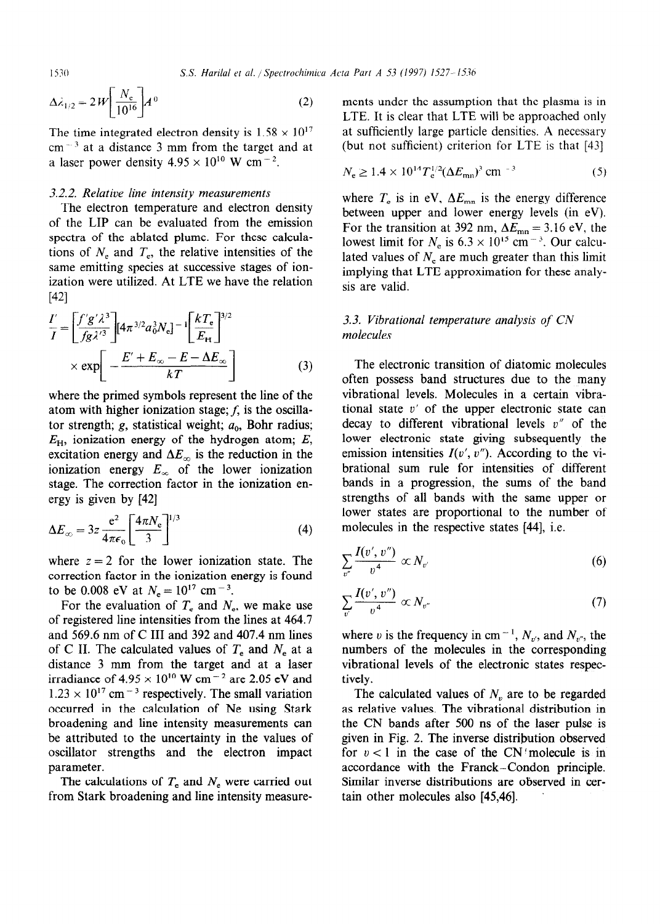$$
\Delta \lambda_{1/2} = 2W \left[ \frac{N_e}{10^{16}} \right] A^0 \tag{2}
$$

The time integrated electron density is  $1.58 \times 10^{17}$  $cm<sup>-3</sup>$  at a distance 3 mm from the target and at a laser power density  $4.95 \times 10^{10}$  W cm<sup>-2</sup>.

# 3.2.2. Relative line intensity measurements

The electron temperature and electron density ization were utilized. At LTE we have the relation  $\frac{m}{s}$  is are valid.  $[42]$ 

$$
\frac{I'}{I} = \left[\frac{f'g'\lambda^3}{fg\lambda'^3}\right] \left[4\pi^{3/2}a_0^3N_e\right]^{-1} \left[\frac{kT_e}{E_H}\right]^{3/2}
$$
\n
$$
\times \exp\left[-\frac{E' + E_{\infty} - E - \Delta E_{\infty}}{kT}\right]
$$
\n(3) The elect  
\noftence *z* of the possé

 $\frac{1}{2}$  for the evaluation of  $\frac{1}{2}$  and  $\frac{1}{2}$  and  $\frac{1}{2}$  and  $\frac{1}{2}$  and  $\frac{1}{2}$  and  $\frac{1}{2}$  and  $\frac{1}{2}$  and  $\frac{1}{2}$  and  $\frac{1}{2}$  and  $\frac{1}{2}$  and  $\frac{1}{2}$  and  $\frac{1}{2}$  and  $\frac{1}{2}$  and  $\frac{1}{2$ atom with higher ionization stage;  $f$ , is the oscillator strength;  $g$ , statistical weight;  $a_0$ , Bohr radius;  $E_{\rm H}$ , ionization energy of the hydrogen atom; E, excitation energy and  $\Delta E_{\infty}$  is the reduction in the ionization energy  $E_{\infty}$  of the lower ionization stage. The correction factor in the ionization energy is given by [42]  $\begin{bmatrix} 42 \end{bmatrix}$ 

$$
\Delta E_{\infty} = 3z \frac{e^2}{4\pi\epsilon_0} \left[ \frac{4\pi N_e}{3} \right]^{1/3}
$$
 (4) molecules i

where  $z = 2$  for the lower ionization state. The correction factor in the ionization energy is found to be 0.008 eV at  $N_e = 10^{17}$  cm<sup>-3</sup>.

For the evaluation of  $T_e$  and  $N_e$ , we make use of registered line intensities from the lines at 464.7 and 569.6 nm of C III and 392 and 407.4 nm lines of C II. The calculated values of  $T_e$  and  $N_e$  at a distance 3 mm from the target and at a laser irradiance of  $4.95 \times 10^{10}$  W cm<sup>-2</sup> are 2.05 eV and  $1.23 \times 10^{17}$  cm<sup>-3</sup> respectively. The small variation occurred in the calculation of Ne using Stark broadening and line intensity measurements can be attributed to the uncertainty in the values of oscillator strengths and the electron impact parameter.

The calculations of  $T_e$  and  $N_e$  were carried out from Stark broadening and line intensity measurements under the assumption that the plasma is in LTE. It is clear that LTE will be approached only at sufficiently large particle densities. A necessary (but not sufficient) criterion for LTE is that [43]

$$
N_e \ge 1.4 \times 10^{14} T_e^{1/2} (\Delta E_{\text{mn}})^3 \text{ cm}^{-3}
$$
 (5)

where  $T_e$  is in eV,  $\Delta E_{mn}$  is the energy difference The electron temperature and electron density<br>of the LIP can be evaluated from the emission<br>For the transition at 392 nm,  $\Delta E_{mn} = 3.16$  eV, the spectra of the ablated plume. For these calcula-<br>lowest limit for  $N_e$  is  $6.3 \times 10^{15}$  cm<sup>-3</sup>. Our calcutions of  $N_e$  and  $T_e$ , the relative intensities of the<br>lated values of  $N_e$  are much greater than this limit same emitting species at successive stages of ion-<br>implying that LTE approximation for these analy-

# 3.3. Vibrational temperature analysis of CN molecules

broadening lower states are proportional to the number of  $4\pi N$   $\frac{1}{3}$  $\left| \frac{4\pi N_e}{2} \right|^{1/2}$  (4) molecules in the respective states [44], i.e. The electronic transition of diatomic molecules often possess band structures due to the many vibrational levels. Molecules in a certain vibrational state  $v'$  of the upper electronic state can decay to different vibrational levels v" of the lower electronic state giving subsequently the emission intensities  $I(v', v'')$ . According to the vibrational sum rule for intensities of different bands in a progression, the sums of the band strengths of all bands with the same upper or

$$
\sum_{v''}\frac{I(v',v'')}{v^4}\propto N_{v'}\tag{6}
$$

$$
\sum_{v'} \frac{I(v',v'')}{v^4} \propto N_{v''}
$$
\n(7)

where v is the frequency in cm<sup>-1</sup>,  $N_{v}$ , and  $N_{v}$ , the numbers of the molecules in the corresponding vibrational levels of the electronic states respectively.

The calculated values of  $N<sub>v</sub>$  are to be regarded as relative values. The vibrational distribution in the CN bands after 500 ns of the laser pulse is given in Fig. 2. The inverse distribution observed for  $v < 1$  in the case of the CN molecule is in accordance with the Franck-Condon principle. Similar inverse distributions are observed in certain other molecules also [45,46].

$$
1530
$$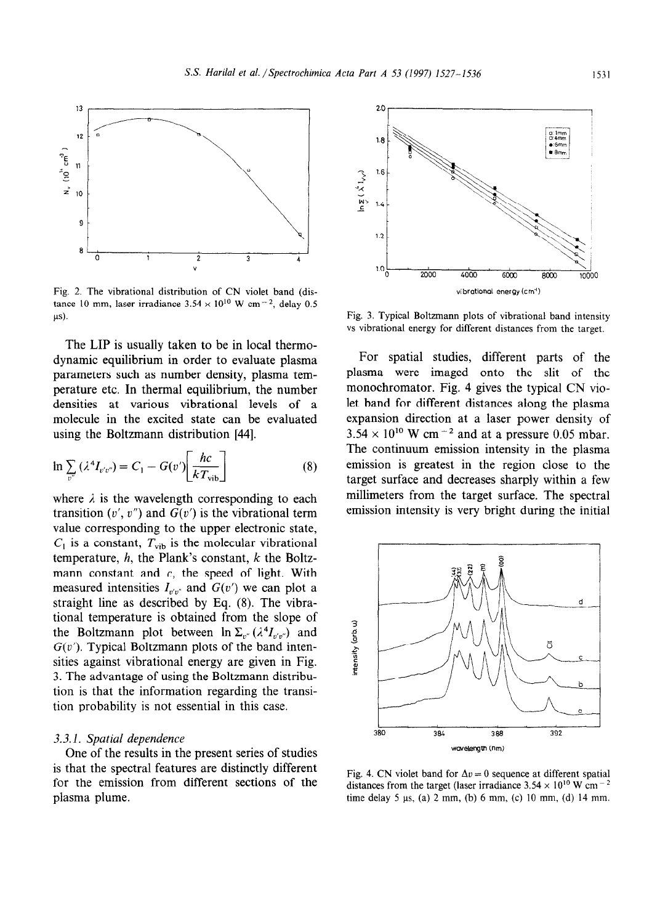

Fig. 2. The vibrational distribution of CN violet band (distance 10 mm, laser irradiance  $3.54 \times 10^{10}$  W cm<sup>-2</sup>, delay 0.5  $\mu$ s).

The LIP is usually taken to be in local thermodynamic equilibrium in order to evaluate plasma parameters such as number density, plasma temperature etc. In thermal equilibrium, the number densities at various vibrational levels of a molecule in the excited state can be evaluated using the Boltzmann distribution [44].

$$
\ln \sum_{v''} (\lambda^4 I_{v'v''}) = C_1 - G(v') \bigg[ \frac{hc}{kT_{\text{vib}}} \bigg] \tag{8}
$$

where  $\lambda$  is the wavelength corresponding to each transition  $(v', v'')$  and  $G(v')$  is the vibrational term value corresponding to the upper electronic state,  $C_1$  is a constant,  $T_{vib}$  is the molecular vibrational temperature,  $h$ , the Plank's constant,  $k$  the Boltzmann constant and  $c$ , the speed of light. With measured intensities  $I_{r'n''}$  and  $G(v')$  we can plot a straight line as described by Eq. (8). The vibrational temperature is obtained from the slope of the Boltzmann plot between  $\ln \sum_{v} (\lambda^4 I_{v'v''})$  and  $G(v')$ . Typical Boltzmann plots of the band intensities against vibrational energy are given in Fig. 3. The advantage of using the Boltzmann distribution is that the information regarding the transition probability is not essential in this case.

# 3.3.1. Spatial dependence

One of the results in the present series of studies is that the spectral features are distinctly different for the emission from different sections of the plasma plume.



Fig. 3. Typical Boltzmann plots of vibrational band intensity vs vibrational energy for different distances from the target.

For spatial studies, different parts of the plasma were imaged onto the slit of the monochromator. Fig. 4 gives the typical CN violet band for different distances along the plasma expansion direction at a laser power density of  $3.54 \times 10^{10}$  W cm<sup>-2</sup> and at a pressure 0.05 mbar. The continuum emission intensity in the plasma emission is greatest in the region close to the target surface and decreases sharply within a few millimeters from the target surface. The spectral emission intensity is very bright during the initial



Fig. 4. CN violet band for  $\Delta v = 0$  sequence at different spatial distances from the target (laser irradiance  $3.54 \times 10^{10}$  W cm<sup>-2</sup> time delay 5 ps, (a) 2 mm, (b) 6 mm, (c) 10 mm, (d) 14 mm.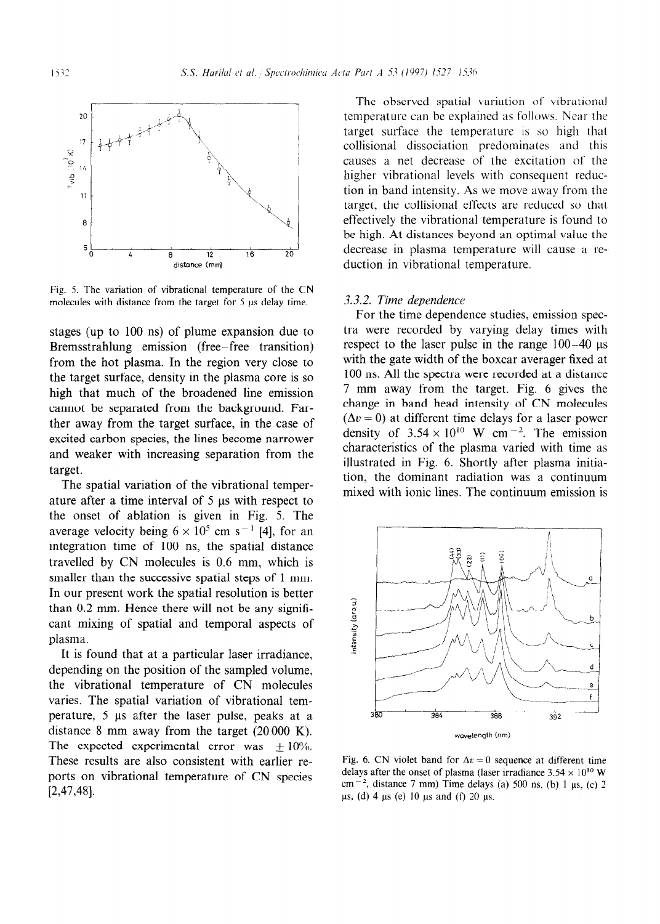

Fig. 5. The variation of vibrational temperature of the CN molecules with distance from the target for 5 µs delay time.

stages (up to 100 ns) of plume expansion due to Bremsstrahlung emission (free-free transition) from the hot plasma. In the region very close to the target surface, density in the plasma core is so high that much of the broadened line emission cannot be separated from the background. Farther away from the target surface, in the case of excited carbon species, the lines become narrower and weaker with increasing separation from the target.

The spatial variation of the vibrational temperature after a time interval of  $5 \mu s$  with respect to the onset of ablation is given in Fig. 5. The average velocity being  $6 \times 10^5$  cm s<sup>-1</sup> [4], for an integration time of 100 ns, the spatial distance travelled by CN molecules is 0.6 mm, which is smaller than the successive spatial steps of 1 mm. In our present work the spatial resolution is better than 0.2 mm. Hence there will not be any significant mixing of spatial and temporal aspects of plasma.

It is found that at a particular laser irradiance, depending on the position of the sampled volume, the vibrational temperature of CN molecules varies. The spatial variation of vibrational temperature, 5 µs after the laser pulse, peaks at a distance 8 mm away from the target  $(20000 \text{ K})$ . The expected experimental error was  $\pm 10\%$ . These results are also consistent with earlier reports on vibrational temperature of CN species [2,47,48].

The observed spatial variation of vibrational temperature can be explained as follows. Near the target surface the temperature is so high that collisional dissociation predominates and this causes a net decrease of the excitation of the higher vibrational levels with consequent reduction in band intensity. As we move away from the target, the collisional effects are reduced so that effectively the vibrational temperature is found to be high. At distances beyond an optimal value the decrease in plasma temperature will cause a reduction in vibrational temperature.

#### 3.3.2. Time dependence

For the time dependence studies, emission spectra were recorded by varying delay times with respect to the laser pulse in the range  $100-40$   $\mu s$ with the gate width of the boxcar averager fixed at 100 ns. All the spectra were recorded at a distance 7 mm away from the target. Fig. 6 gives the change in band head intensity of CN molecules  $(\Delta v = 0)$  at different time delays for a laser power density of  $3.54 \times 10^{10}$  W cm<sup>-2</sup>. The emission characteristics of the plasma varied with time as illustrated in Fig. 6. Shortly after plasma initiation, the dominant radiation was a continuum mixed with ionic lines. The continuum emission is



Fig. 6. CN violet band for  $\Delta v = 0$  sequence at different time delays after the onset of plasma (laser irradiance  $3.54 \times 10^{10}$  W cm<sup>-2</sup>, distance 7 mm) Time delays (a) 500 ns. (b) 1  $\mu$ s, (c) 2  $\mu s$ , (d) 4  $\mu s$  (e) 10  $\mu s$  and (f) 20  $\mu s$ .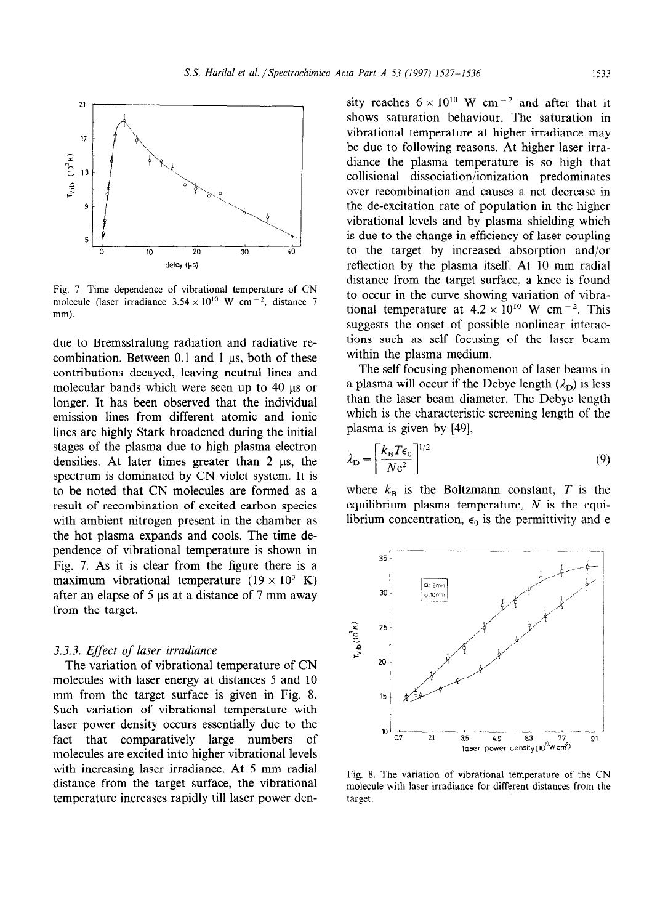

Fig. 7. Time dependence of vibrational temperature of CN molecule (laser irradiance  $3.54 \times 10^{10}$  W cm<sup>-2</sup>, distance 7 mm).

due to Bremsstralung radiation and radiative recombination. Between  $0.1$  and  $1 \mu s$ , both of these contributions decayed, leaving neutral lines and molecular bands which were seen up to 40 µs or longer. It has been observed that the individual emission lines from different atomic and ionic lines are highly Stark broadened during the initial stages of the plasma due to high plasma electron densities. At later times greater than  $2 \mu s$ , the spectrum is dominated by CN violet system. It is to be noted that CN molecules are formed as a result of recombination of excited carbon species with ambient nitrogen present in the chamber as the hot plasma expands and cools. The time dependence of vibrational temperature is shown in Fig. 7. As it is clear from the figure there is a maximum vibrational temperature  $(19 \times 10^3 \text{ K})$ after an elapse of  $5 \mu s$  at a distance of  $7 \mu m$  away from the target.

# 3.3.3. Effect of laser irradiance

The variation of vibrational temperature of CN molecules with laser energy at distances 5 and 10 mm from the target surface is given in Fig. 8. Such variation of vibrational temperature with laser power density occurs essentially due to the fact that comparatively large numbers of molecules are excited into higher vibrational levels with increasing laser irradiance. At 5 mm radial distance from the target surface, the vibrational temperature increases rapidly till laser power density reaches  $6 \times 10^{10}$  W cm<sup>-2</sup> and after that it shows saturation behaviour. The saturation in vibrational temperature at higher irradiance may be due to following reasons, At higher laser irradiance the plasma temperature is so high that collisional dissociation/ionization predominates over recombination and causes a net decrease in the de-excitation rate of population in the higher vibrational levels and by plasma shielding which is due to the change in efficiency of laser coupling to the target by increased absorption and/or reflection by the plasma itself. At 10 mm radial distance from the target surface, a knee is found to occur in the curve showing variation of vibrational temperature at  $4.2 \times 10^{10}$  W cm<sup>-2</sup>. This suggests the onset of possible nonlinear interactions such as self focusing of the laser beam within the plasma medium.

The self focusing phenomenon of laser beams in a plasma will occur if the Debye length  $(\lambda_{\rm D})$  is less than the laser beam diameter. The Debye length which is the characteristic screening length of the plasma is given by  $[49]$ ,

$$
\lambda_{\rm D} = \left[ \frac{k_{\rm B} T \epsilon_0}{N \rm e^2} \right]^{1/2} \tag{9}
$$

where  $k_{\rm B}$  is the Boltzmann constant, T is the equilibrium plasma temperature,  $N$  is the equilibrium concentration,  $\epsilon_0$  is the permittivity and e



Fig. 8. The variation of vibrational temperature of the CN molecule with laser irradiance for different distances from the target.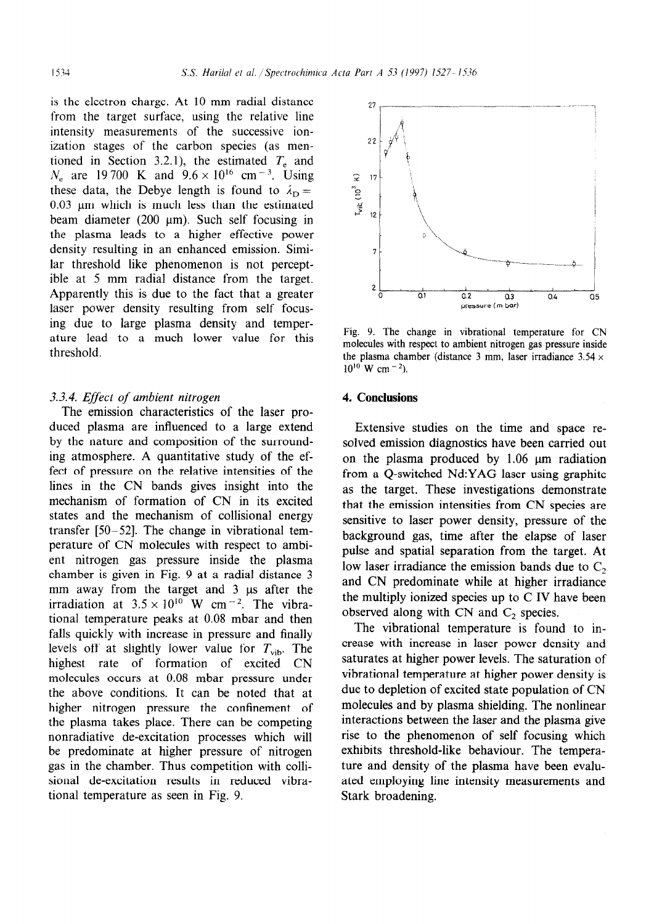is the electron charge. At 10 mm radial distance from the target surface, using the relative line intensity measurements of the successive ionization stages of the carbon species (as mentioned in Section 3.2.1), the estimated  $T<sub>e</sub>$  and  $N_e$  are 19700 K and  $9.6 \times 10^{16}$  cm<sup>-3</sup>. Using these data, the Debye length is found to  $\lambda_{\rm D} =$  $0.03 \mu m$  which is much less than the estimated beam diameter (200  $\mu$ m). Such self focusing in the plasma leads to a higher effective power density resulting in an enhanced emission. Similar threshold like phenomenon is not perceptible at 5 mm radial distance from the target. Apparently this is due to the fact that a greater laser power density resulting from self focusing due to large plasma density and temperature lead to a much lower value for this threshold.

# 3.3.4. Effect of ambient nitrogen 4. Conclusions

The emission characteristics of the laser produced plasma are influenced to a large extend by the nature and composition of the surrounding atmosphere. A quantitative study of the effect of pressure on the relative intensities of the lines in the CN bands gives insight into the mechanism of formation of CN in its excited states and the mechanism of collisional energy transfer [50-521. The change in vibrational temperature of CN molecules with respect to ambient nitrogen gas pressure inside the plasma chamber is given in Fig. 9 at a radial distance 3 mm away from the target and 3 us after the irradiation at  $3.5 \times 10^{10}$  W cm<sup>-2</sup>. The vibrational temperature peaks at 0.08 mbar and then falls quickly with increase in pressure and finally levels off at slightly lower value for  $T_{vib}$ . The highest rate of formation of excited CN molecules occurs at 0.08 mbar pressure under the above conditions. It can be noted that at higher nitrogen pressure the confinement of the plasma takes place. There can be competing nonradiative de-excitation processes which will be predominate at higher pressure of nitrogen gas in the chamber. Thus competition with collisional de-excitation results in reduced vibrational temperature as seen in Fig. 9.



Fig. 9. The change in vibrational temperature for CN molecules with respect to ambient nitrogen gas pressure inside the plasma chamber (distance 3 mm, laser irradiance  $3.54 \times$  $10^{10}$  W cm<sup>-2</sup>).

Extensive studies on the time and space resolved emission diagnostics have been carried out on the plasma produced by  $1.06 \mu m$  radiation from a Q-switched Nd:YAG laser using graphite as the target. These investigations demonstrate that the emission intensities from CN species are sensitive to laser power density, pressure of the background gas, time after the elapse of laser pulse and spatial separation from the target. At low laser irradiance the emission bands due to  $C_2$ and CN predominate while at higher irradiance the multiply ionized species up to C IV have been observed along with CN and  $C_2$  species.

The vibrational temperature is found to increase with increase in laser power density and saturates at higher power levels. The saturation of vibrational temperature at higher power density is due to depletion of excited state population of CN molecules and by plasma shielding. The nonlinear interactions between the laser and the plasma give rise to the phenomenon of self focusing which exhibits threshold-like behaviour. The temperature and density of the plasma have been evaluated employing line intensity measurements and Stark broadening.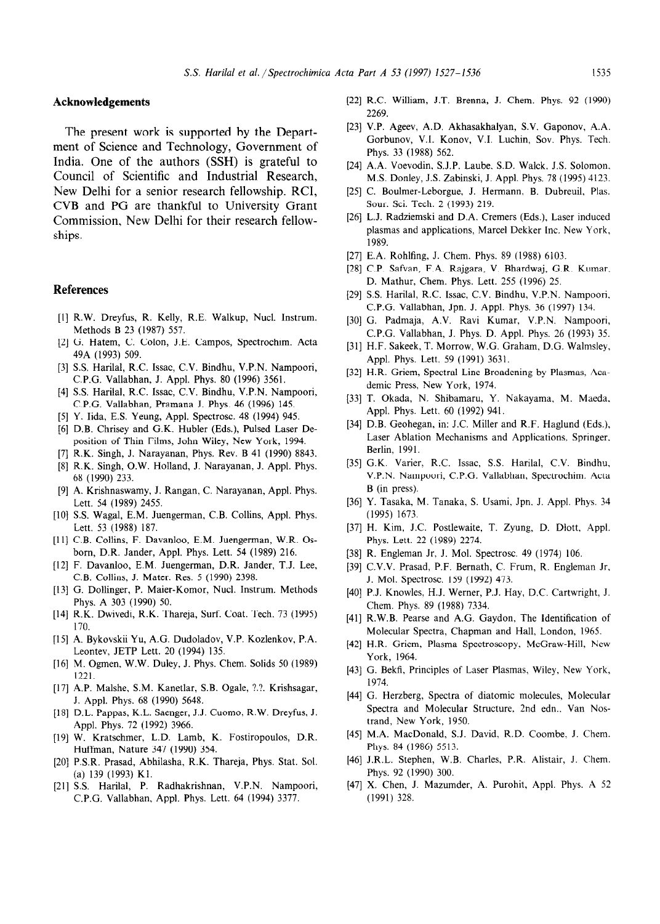# Acknowledgements

The present work is supported by the Department of Science and Technology, Government of India. One of the authors (SSH) is grateful to Council of Scientific and Industrial Research, New Delhi for a senior research fellowship. RCI, CVB and PG are thankful to University Grant Commission, New Delhi for their research fellowships.

# References

- [1] R.W. Dreyfus, R. Kelly, R.E. Walkup, Nucl. Instrum. Methods B 23 (1987) 557.
- 121 G. Hatem, C. Colon, J.E. Campos, Spectrochim. Acta 49A (1993) 509.
- [3] S.S. Harilal, R.C. Issac, C.V. Bindhu, V.P.N. Nampoori C.P.G. Vallabhan, J. Appl. Phys. 80 (1996) 3561.
- [41 S.S. Harilal, R.C. Issac, C.V. Bindhu, V.P.N. Nampoori, C.P.G. Vallabhan, Pramana J. Phys. 46 (1996) 145.
- 151 Y. Iida, E.S. Yeung, Appl. Spectrosc. 48 (1994) 945.
- [61 D.B. Chrisey and G.K. Hubler (Eds.), Pulsed Laser Deposition of Thin Films, John Wiley, New York, 1994.
- [71 R.K. Singh, J. Narayanan, Phys. Rev. B 41 (1990) 8843.
- [8] R.K. Singh, O.W. Holland, J. Narayanan, J. Appl. Phys. 68 (1990) 233.
- [91 A. Krishnaswamy, J. Rangan, C. Narayanan, Appl. Phys. Lett. 54 (1989) 2455.
- [10] S.S. Wagal, E.M. Juengerman, C.B. Collins, Appl. Phys. Lett. 53 (1988) 187.
- [11] C.B. Collins, F. Davanloo, E.M. Juengerman, W.R. Osborn, D.R. Jander, Appl. Phys. Lett. 54 (1989) 216.
- (121 F. Davanloo, E.M. Juengerman, D.R. Jander, T.J. Lee, C.B. Collins, J. Mater. Res. 5 (1990) 2398.
- [13] G. Dollinger, P. Maier-Komor, Nucl. Instrum. Methods Phys. A 303 (1990) 50.
- 1141 R.K. Dwivedi, R.K. Thareja, Surf. Coat. Tech. 73 (1995) 170.
- [I51 A. Bykovskii Yu, A.G. Dudoladov, V.P. Kozlenkov, P.A. Leontev, JETP Lett. 20 (1994) 135.
- [16] M. Ogmen, W.W. Duley, J. Phys. Chem. Solids 50 (1989) 1221.
- 1171 A.P. Malshe, SM. Kanetlar, S.B. Ogale, ?.?. Krishsagar, J. Appl. Phys. 68 (1990) 5648.
- USI D.L. Pappas, K.L. Saenger, J. J. Cuomo, R. W. Dreyfus, J. Appl. Phys. 72 (1992) 3966.
- u91 W. Kratschmer, L.D. Lamb, K. Fostiropoulos, D.R. Huffman, Nature 347 (1990) 354.
- PO1 P.S.R. Prasad, Abhilasha, R.K. Thareja, Phys. Stat. Sol. (a) 139 (1993) Kl.
- I211 S.S. Harilal, P. Radhakrishnan, V.P.N. Nampoori, C.P.G. Vallabhan, Appl. Phys. Lett. 64 (1994) 3377.
- 1221 R.C. William, J.T. Brenna, J. Chem. Phys. 92 (1990) 2269.
- [231 V.P. Ageev, A.D. Akhasakhalyan, S.V. Gaponov, A.A. Gorbunov, V.I. Konov, V.I. Luchin, Sov. Phys. Tech. Phys. 33 (1988) 562.
- [241 A.A. Voevodin, S.J.P. Laube, S.D. Walck, J.S. Solomon, MS. Donley, J.S. Zabinski, J. Appl. Phys. 78 (1995) 4123.
- [251 C. Boulmer-Leborgue, J. Hermann, B. Dubreuil, Plas. Sour. Sci. Tech. 2 (1993) 219.
- [26] L.J. Radziemski and D.A. Cremers (Eds.), Laser induced plasmas and applications, Marcel Dekker Inc. New York, 1989.
- 1271 E.A. Rohlfing, J. Chem. Phys. 89 (1988) 6103.
- [28] C.P. Safvan, F.A. Rajgara, V. Bhardwaj, G.R. Kumar D. Mathur, Chem. Phys. Lett. 255 (1996) 25.
- [29] S.S. Harilal, R.C. Issac, C.V. Bindhu, V.P.N. Nampoori C.P.G. Vallabhan, Jpn. J. Appl. Phys. 36 (1997) 134.
- [301 G. Padmaja, A.V. Ravi Kumar, V.P.N. Nampoori, C.P.G. Vallabhan, J. Phys. D. Appl. Phys. 26 (1993) 35.
- [311 H.F. Sakeek, T. Morrow, W.G. Graham, D.G. Walmsley, Appl. Phys. Lett. 59 (1991) 3631.
- [32] H.R. Griem, Spectral Line Broadening by Plasmas, Academic Press, New York, 1974.
- [331 T. Okada, N. Shibamaru, Y. Nakayama, M. Maeda. Appl. Phys. Lett. 60 (1992) 941.
- [34] D.B. Geohegan, in: J.C. Miller and R.F. Haglund (Eds.), Laser Ablation Mechanisms and Applications, Springer, Berlin, 1991.
- [351 G.K. Varier, R.C. Issac, S.S. Harilal, C.V. Bindhu, V.P.N. Nampoori, C.P.G. Vallabhan, Spectrochim. Acta B (in press).
- 1361 Y. Tasaka, M. Tanaka, S. Usami, Jpn. J. Appl. Phys. 34 (1995) 1673.
- [371 H. Kim, J.C. Postlewaite, T. Zyung, D. Dlott, Appl. Phys. Lett. 22 (1989) 2274.
- I381 R. Engleman Jr, J. Mol. Spectrosc. 49 (1974) 106.
- [39] C.V.V. Prasad, P.F. Bernath, C. Frum, R. Engleman Jr. J. Mol. Spectrosc. 159 (1992) 473.
- [401 P.J. Knowles, H.J. Werner, P.J. Hay, D.C. Cartwright, J. Chem. Phys. 89 (1988) 7334.
- 1411 R.W.B. Pearse and A.G. Gaydon, The Identification of Molecular Spectra, Chapman and Hall, London, 1965.
- f421 H.R. Griem, Plasma Spectroscopy, McGraw-Hill, New York, 1964.
- [43] G. Bekfi, Principles of Laser Plasmas, Wiley, New York, 1974.
- [44] G. Herzberg, Spectra of diatomic molecules, Molecula Spectra and Molecular Structure, 2nd edn., Van Nostrand, New York, 1950.
- [45] M.A. MacDonald, S.J. David, R.D. Coombe, J. Chem. Phys. 84 (1986) 5513.
- [46] I.R. I., Stephen, W.B. Charles, P.R. Alistair, J. Chem. Phys. 92 (1990) 300.
- [471 X. Chen, J. Mazumder, A. Purohit, Appl. Phys. A 52 (1991) 328.